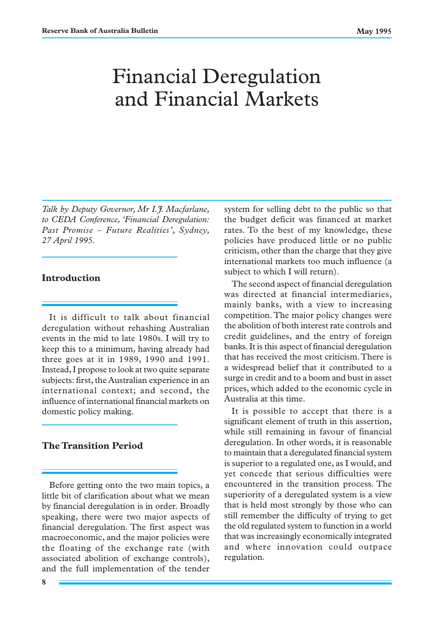# Financial Deregulation and Financial Markets

*Talk by Deputy Governor, Mr I.J. Macfarlane, to CEDA Conference, 'Financial Deregulation: Past Promise – Future Realities', Sydney, 27 April 1995.*

## **Introduction**

It is difficult to talk about financial deregulation without rehashing Australian events in the mid to late 1980s. I will try to keep this to a minimum, having already had three goes at it in 1989, 1990 and 1991. Instead, I propose to look at two quite separate subjects: first, the Australian experience in an international context; and second, the influence of international financial markets on domestic policy making.

## **The Transition Period**

Before getting onto the two main topics, a little bit of clarification about what we mean by financial deregulation is in order. Broadly speaking, there were two major aspects of financial deregulation. The first aspect was macroeconomic, and the major policies were the floating of the exchange rate (with associated abolition of exchange controls), and the full implementation of the tender

system for selling debt to the public so that the budget deficit was financed at market rates. To the best of my knowledge, these policies have produced little or no public criticism, other than the charge that they give international markets too much influence (a subject to which I will return).

The second aspect of financial deregulation was directed at financial intermediaries, mainly banks, with a view to increasing competition. The major policy changes were the abolition of both interest rate controls and credit guidelines, and the entry of foreign banks. It is this aspect of financial deregulation that has received the most criticism. There is a widespread belief that it contributed to a surge in credit and to a boom and bust in asset prices, which added to the economic cycle in Australia at this time.

It is possible to accept that there is a significant element of truth in this assertion, while still remaining in favour of financial deregulation. In other words, it is reasonable to maintain that a deregulated financial system is superior to a regulated one, as I would, and yet concede that serious difficulties were encountered in the transition process. The superiority of a deregulated system is a view that is held most strongly by those who can still remember the difficulty of trying to get the old regulated system to function in a world that was increasingly economically integrated and where innovation could outpace regulation.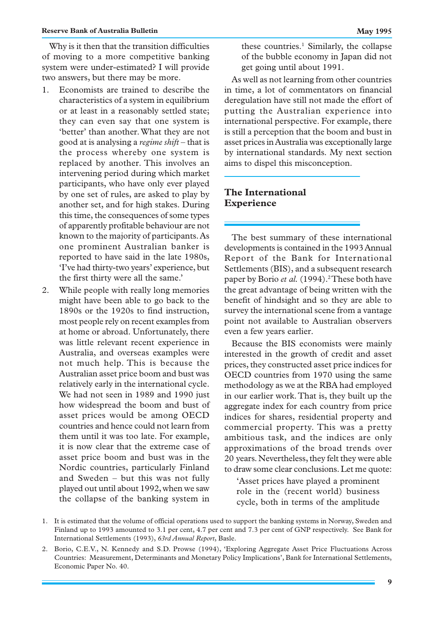Why is it then that the transition difficulties of moving to a more competitive banking system were under-estimated? I will provide two answers, but there may be more.

- 1. Economists are trained to describe the characteristics of a system in equilibrium or at least in a reasonably settled state; they can even say that one system is 'better' than another. What they are not good at is analysing a *regime shift* – that is the process whereby one system is replaced by another. This involves an intervening period during which market participants, who have only ever played by one set of rules, are asked to play by another set, and for high stakes. During this time, the consequences of some types of apparently profitable behaviour are not known to the majority of participants. As one prominent Australian banker is reported to have said in the late 1980s, 'I've had thirty-two years' experience, but the first thirty were all the same.'
- 2. While people with really long memories might have been able to go back to the 1890s or the 1920s to find instruction, most people rely on recent examples from at home or abroad. Unfortunately, there was little relevant recent experience in Australia, and overseas examples were not much help. This is because the Australian asset price boom and bust was relatively early in the international cycle. We had not seen in 1989 and 1990 just how widespread the boom and bust of asset prices would be among OECD countries and hence could not learn from them until it was too late. For example, it is now clear that the extreme case of asset price boom and bust was in the Nordic countries, particularly Finland and Sweden – but this was not fully played out until about 1992, when we saw the collapse of the banking system in

these countries.<sup>1</sup> Similarly, the collapse of the bubble economy in Japan did not get going until about 1991.

As well as not learning from other countries in time, a lot of commentators on financial deregulation have still not made the effort of putting the Australian experience into international perspective. For example, there is still a perception that the boom and bust in asset prices in Australia was exceptionally large by international standards. My next section aims to dispel this misconception.

#### **The International Experience**

The best summary of these international developments is contained in the 1993 Annual Report of the Bank for International Settlements (BIS), and a subsequent research paper by Borio *et al.* (1994).<sup>2</sup>These both have the great advantage of being written with the benefit of hindsight and so they are able to survey the international scene from a vantage point not available to Australian observers even a few years earlier.

Because the BIS economists were mainly interested in the growth of credit and asset prices, they constructed asset price indices for OECD countries from 1970 using the same methodology as we at the RBA had employed in our earlier work. That is, they built up the aggregate index for each country from price indices for shares, residential property and commercial property. This was a pretty ambitious task, and the indices are only approximations of the broad trends over 20 years. Nevertheless, they felt they were able to draw some clear conclusions. Let me quote:

'Asset prices have played a prominent role in the (recent world) business cycle, both in terms of the amplitude

- 1. It is estimated that the volume of official operations used to support the banking systems in Norway, Sweden and Finland up to 1993 amounted to 3.1 per cent, 4.7 per cent and 7.3 per cent of GNP respectively. See Bank for International Settlements (1993), *63rd Annual Report*, Basle.
- 2. Borio, C.E.V., N. Kennedy and S.D. Prowse (1994), 'Exploring Aggregate Asset Price Fluctuations Across Countries: Measurement, Determinants and Monetary Policy Implications', Bank for International Settlements, Economic Paper No. 40.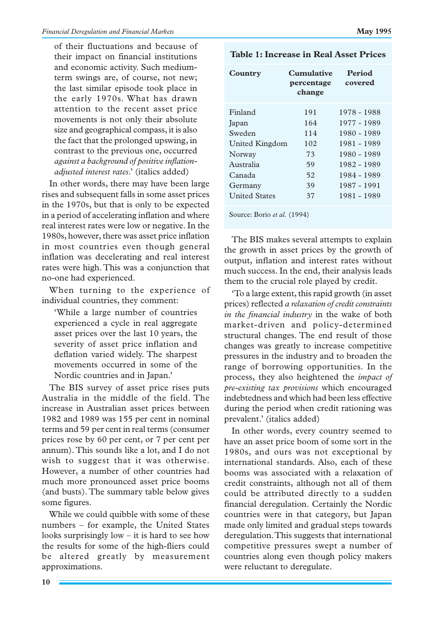of their fluctuations and because of their impact on financial institutions and economic activity. Such mediumterm swings are, of course, not new; the last similar episode took place in the early 1970s. What has drawn attention to the recent asset price movements is not only their absolute size and geographical compass, it is also the fact that the prolonged upswing, in contrast to the previous one, occurred *against a background of positive inflationadjusted interest rates*.' (italics added)

In other words, there may have been large rises and subsequent falls in some asset prices in the 1970s, but that is only to be expected in a period of accelerating inflation and where real interest rates were low or negative. In the 1980s, however, there was asset price inflation in most countries even though general inflation was decelerating and real interest rates were high. This was a conjunction that no-one had experienced.

When turning to the experience of individual countries, they comment:

'While a large number of countries experienced a cycle in real aggregate asset prices over the last 10 years, the severity of asset price inflation and deflation varied widely. The sharpest movements occurred in some of the Nordic countries and in Japan.'

The BIS survey of asset price rises puts Australia in the middle of the field. The increase in Australian asset prices between 1982 and 1989 was 155 per cent in nominal terms and 59 per cent in real terms (consumer prices rose by 60 per cent, or 7 per cent per annum). This sounds like a lot, and I do not wish to suggest that it was otherwise. However, a number of other countries had much more pronounced asset price booms (and busts). The summary table below gives some figures.

While we could quibble with some of these numbers – for example, the United States looks surprisingly low – it is hard to see how the results for some of the high-fliers could be altered greatly by measurement approximations.

| Table 1: Increase in Real Asset Prices |  |
|----------------------------------------|--|
|----------------------------------------|--|

| Country              | Cumulative<br>percentage<br>change | Period<br>covered |
|----------------------|------------------------------------|-------------------|
| Finland              | 191                                | 1978 - 1988       |
| Japan                | 164                                | 1977 - 1989       |
| Sweden               | 114                                | 1980 - 1989       |
| United Kingdom       | 102                                | 1981 - 1989       |
| Norway               | 73                                 | 1980 - 1989       |
| Australia            | 59                                 | 1982 - 1989       |
| Canada               | 52                                 | 1984 - 1989       |
| Germany              | 39                                 | 1987 - 1991       |
| <b>United States</b> | 37                                 | 1981 - 1989       |

Source: Borio *et al.* (1994)

The BIS makes several attempts to explain the growth in asset prices by the growth of output, inflation and interest rates without much success. In the end, their analysis leads them to the crucial role played by credit.

'To a large extent, this rapid growth (in asset prices) reflected *a relaxation of credit constraints in the financial industry* in the wake of both market-driven and policy-determined structural changes. The end result of those changes was greatly to increase competitive pressures in the industry and to broaden the range of borrowing opportunities. In the process, they also heightened the *impact of pre-existing tax provisions* which encouraged indebtedness and which had been less effective during the period when credit rationing was prevalent.' (italics added)

In other words, every country seemed to have an asset price boom of some sort in the 1980s, and ours was not exceptional by international standards. Also, each of these booms was associated with a relaxation of credit constraints, although not all of them could be attributed directly to a sudden financial deregulation. Certainly the Nordic countries were in that category, but Japan made only limited and gradual steps towards deregulation. This suggests that international competitive pressures swept a number of countries along even though policy makers were reluctant to deregulate.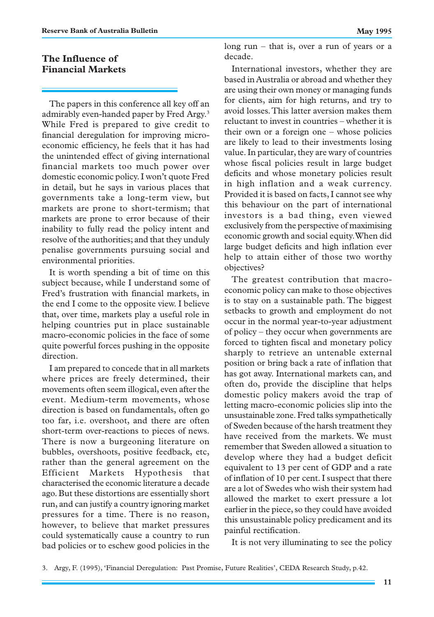## **The Influence of Financial Markets**

The papers in this conference all key off an admirably even-handed paper by Fred Argy.<sup>3</sup> While Fred is prepared to give credit to financial deregulation for improving microeconomic efficiency, he feels that it has had the unintended effect of giving international financial markets too much power over domestic economic policy. I won't quote Fred in detail, but he says in various places that governments take a long-term view, but markets are prone to short-termism; that markets are prone to error because of their inability to fully read the policy intent and resolve of the authorities; and that they unduly penalise governments pursuing social and environmental priorities.

It is worth spending a bit of time on this subject because, while I understand some of Fred's frustration with financial markets, in the end I come to the opposite view. I believe that, over time, markets play a useful role in helping countries put in place sustainable macro-economic policies in the face of some quite powerful forces pushing in the opposite direction.

I am prepared to concede that in all markets where prices are freely determined, their movements often seem illogical, even after the event. Medium-term movements, whose direction is based on fundamentals, often go too far, i.e. overshoot, and there are often short-term over-reactions to pieces of news. There is now a burgeoning literature on bubbles, overshoots, positive feedback, etc, rather than the general agreement on the Efficient Markets Hypothesis that characterised the economic literature a decade ago. But these distortions are essentially short run, and can justify a country ignoring market pressures for a time. There is no reason, however, to believe that market pressures could systematically cause a country to run bad policies or to eschew good policies in the long run – that is, over a run of years or a decade.

International investors, whether they are based in Australia or abroad and whether they are using their own money or managing funds for clients, aim for high returns, and try to avoid losses. This latter aversion makes them reluctant to invest in countries – whether it is their own or a foreign one – whose policies are likely to lead to their investments losing value. In particular, they are wary of countries whose fiscal policies result in large budget deficits and whose monetary policies result in high inflation and a weak currency. Provided it is based on facts, I cannot see why this behaviour on the part of international investors is a bad thing, even viewed exclusively from the perspective of maximising economic growth and social equity. When did large budget deficits and high inflation ever help to attain either of those two worthy objectives?

The greatest contribution that macroeconomic policy can make to those objectives is to stay on a sustainable path. The biggest setbacks to growth and employment do not occur in the normal year-to-year adjustment of policy – they occur when governments are forced to tighten fiscal and monetary policy sharply to retrieve an untenable external position or bring back a rate of inflation that has got away. International markets can, and often do, provide the discipline that helps domestic policy makers avoid the trap of letting macro-economic policies slip into the unsustainable zone. Fred talks sympathetically of Sweden because of the harsh treatment they have received from the markets. We must remember that Sweden allowed a situation to develop where they had a budget deficit equivalent to 13 per cent of GDP and a rate of inflation of 10 per cent. I suspect that there are a lot of Swedes who wish their system had allowed the market to exert pressure a lot earlier in the piece, so they could have avoided this unsustainable policy predicament and its painful rectification.

It is not very illuminating to see the policy

<sup>3.</sup> Argy, F. (1995), 'Financial Deregulation: Past Promise, Future Realities', CEDA Research Study, p.42.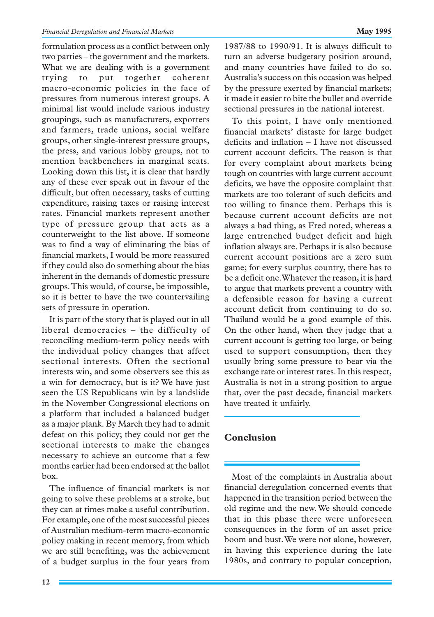formulation process as a conflict between only two parties – the government and the markets. What we are dealing with is a government trying to put together coherent macro-economic policies in the face of pressures from numerous interest groups. A minimal list would include various industry groupings, such as manufacturers, exporters and farmers, trade unions, social welfare groups, other single-interest pressure groups, the press, and various lobby groups, not to mention backbenchers in marginal seats. Looking down this list, it is clear that hardly any of these ever speak out in favour of the difficult, but often necessary, tasks of cutting expenditure, raising taxes or raising interest rates. Financial markets represent another type of pressure group that acts as a counterweight to the list above. If someone was to find a way of eliminating the bias of financial markets, I would be more reassured if they could also do something about the bias inherent in the demands of domestic pressure groups. This would, of course, be impossible, so it is better to have the two countervailing sets of pressure in operation.

It is part of the story that is played out in all liberal democracies – the difficulty of reconciling medium-term policy needs with the individual policy changes that affect sectional interests. Often the sectional interests win, and some observers see this as a win for democracy, but is it? We have just seen the US Republicans win by a landslide in the November Congressional elections on a platform that included a balanced budget as a major plank. By March they had to admit defeat on this policy; they could not get the sectional interests to make the changes necessary to achieve an outcome that a few months earlier had been endorsed at the ballot box.

The influence of financial markets is not going to solve these problems at a stroke, but they can at times make a useful contribution. For example, one of the most successful pieces of Australian medium-term macro-economic policy making in recent memory, from which we are still benefiting, was the achievement of a budget surplus in the four years from 1987/88 to 1990/91. It is always difficult to turn an adverse budgetary position around, and many countries have failed to do so. Australia's success on this occasion was helped by the pressure exerted by financial markets; it made it easier to bite the bullet and override sectional pressures in the national interest.

To this point, I have only mentioned financial markets' distaste for large budget deficits and inflation – I have not discussed current account deficits. The reason is that for every complaint about markets being tough on countries with large current account deficits, we have the opposite complaint that markets are too tolerant of such deficits and too willing to finance them. Perhaps this is because current account deficits are not always a bad thing, as Fred noted, whereas a large entrenched budget deficit and high inflation always are. Perhaps it is also because current account positions are a zero sum game; for every surplus country, there has to be a deficit one. Whatever the reason, it is hard to argue that markets prevent a country with a defensible reason for having a current account deficit from continuing to do so. Thailand would be a good example of this. On the other hand, when they judge that a current account is getting too large, or being used to support consumption, then they usually bring some pressure to bear via the exchange rate or interest rates. In this respect, Australia is not in a strong position to argue that, over the past decade, financial markets have treated it unfairly.

# **Conclusion**

Most of the complaints in Australia about financial deregulation concerned events that happened in the transition period between the old regime and the new. We should concede that in this phase there were unforeseen consequences in the form of an asset price boom and bust. We were not alone, however, in having this experience during the late 1980s, and contrary to popular conception,